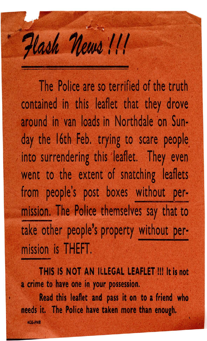Flash News!!!

**The Police are so terrified of the truth contained in this leaflet that they drove around in van loads in Northdale on Sunday the 16th Feb. trying to scare people into surrendering this leaflet. They even went to the extent of snatching leaflets from people's post boxes without permission. The Police themselves say that to**  *vmrnammmmmanummmm*  **take other people's property without permission is THEFT.** 

**THIS IS NOT AN ILLEGAL LEAFLET I!! It is not a crime to have one in your possession.** 

**Read this leaflet and pass it on to a friend who needs it. The Police have taken more than enough. ACE.PMB "•.-. ., -;"•. ;.;C J**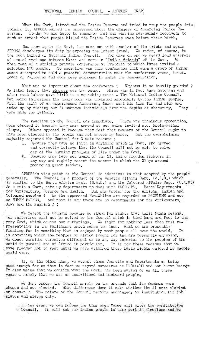When the Govt, introduced the Police Reserve and tried to trap the people into  $\mathbb F$ joining it, APDUSA warned the oppressed about the dangers of accepting Police Reserves, To~day we are happy to announce that our warning was-warmly received: to such an extent that people killed the Police Reserves even before their birth,

Now once again the Govt, has come out with another of its tricks and again<br>discharges its duty by exposing the latest fraud. We refer, of course, to APDUSA discharges its duty by exposing the latest fraud. the much talked of National Indian Council, For days on end we heard loud whispers of secret meetings between Maree and certain "<u>Indian friends</u>" of the Govt. We then read of a strictly private conference at Pretoria to which Maree invited a selected 100 people. So secretive was this conference that when a group of Indian women attempted to hold a peaceful demonstration near the conference venue, truckloads of Policemen and dogs were summoned to smash the demonstration.

What was so important about the conference ? Why was it so heavily guarded ? We later learnt that shyness was the cause. Maree was in fact busy hatching and after much labour gave birth to a squeaking mouse - The National Indian Council. But being fatherless the newly born was unwanted especially by the Indian people. With the skill of an experienced fisherman, Maree cast his line far and wide and<br>ended up by fishing out 21 unknown individuals from the depths of obscurity. They ended up by fishing out 21 unknown individuals from the depths of obscurity. were made the fathers.

The reaction to the Council was immediate. There was unanimous opposition. Some opposed it because they were peeved at not being invited e.g. Moola-Pather<br>clique. Others opposed it because they felt that members of the Council ought Others opposed it because they felt that members of the Council ought to elected by the people and not chosen by Maree. But the overwhelming have been elected by the people and not chosen by Maree. majority rejected the Council for 2 main reasons :

- 1. Because they have no faith in anything which is Govt. spc nsored and correctly believe that the Council will not be'able to solve any of the burning problems of life under the Govt.
- 2. Because they have not heard of the 21, being freedom fighters in any way and rightly resent the manner in which the 21 go around posing as. great leaders,

 $\cdot$  APDUSA's view point on the Council is identical to that adopted by the people. generally. The Council is a product of the Asiatic Affairs Dept. (A.A.D.) which is similar to the Bantu Affairs Dept. (B.A.D.) and the Coloured Affairs Dept. (C.A.D.)<br>As a rule a Govt. sets up departments to deal with PROBLEMS. Hence Departments As a rule a Govt. sets up departments to deal with PROBLEMS. for Agriculture, Defence and Health. But why Depts. for the African, Indian and Coloured peoples ? We the oppressed Non-Whites are regarded as PROBLEMS and not as HUMAN BEINGS. And that is why there are no departments for the Afrikaaners. And that is why there are no departments for the Afrikaaners, Jews and the English *I I* 

We reject the Council because we stand for rights that befit human beings. Our sufferings will not be solved by the Council which is tied hand and foot to the, yery Govt, which causes our sufferings. We fight for nothing less than full representation in the Parliament which makes the laws. What we are presently' fighting for is something that is enjoyed by most people all over the world. It is something which the peoples of Africa fought for &nd are presently enjoying. We donot consider ourselves different or in any way inferior to the peoples of the world in general and of Africa in particular. It is for these reasons that we have pledged not to rest until we have attained those basic rights enjoyed by people world over.

If, on the other hand, we accept these Councils and Departments as being good enough for us then in fact we regard ourselves as PROBLEMS and not human beings ft also means that we confirm what the Govt, has been saying of us all these years *~* namely that we are an uncivilised and backward people.

We dont oppose the Council merely on the grounds that its members were, chosen and not elected. What difference does it make whether the 21 were elected^ or chosen ? The nature of the Council remains unchanged; an institution fit *fox*  slaves and slaves only.

In any event we can forsee the time when Maree will alter the constitution I Council. He will ask the Indian people to take part in elections and to